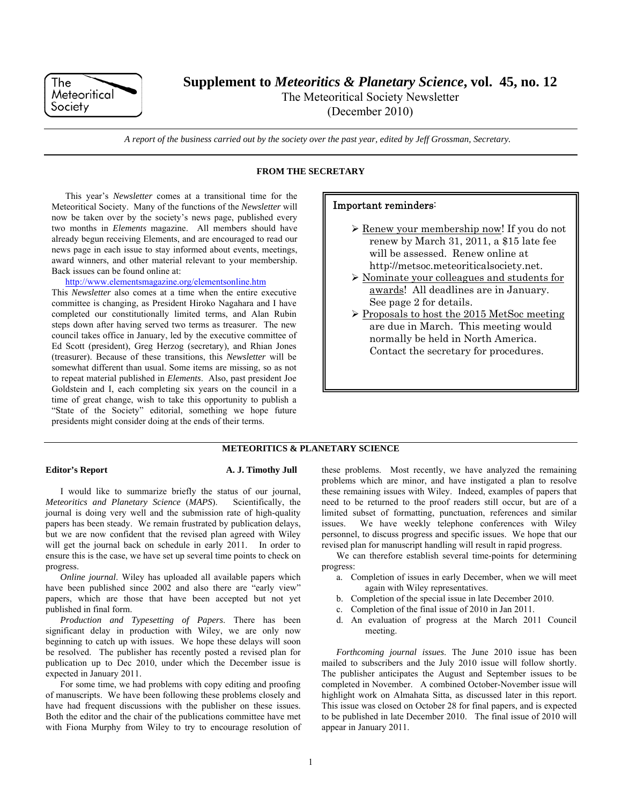

**Supplement to** *Meteoritics & Planetary Science***, vol. 45, no. 12** 

The Meteoritical Society Newsletter

(December 2010)

*A report of the business carried out by the society over the past year, edited by Jeff Grossman, Secretary.* 

# **FROM THE SECRETARY**

This year's *Newsletter* comes at a transitional time for the Meteoritical Society. Many of the functions of the *Newsletter* will now be taken over by the society's news page, published every two months in *Elements* magazine. All members should have already begun receiving Elements, and are encouraged to read our news page in each issue to stay informed about events, meetings, award winners, and other material relevant to your membership. Back issues can be found online at:

# http://www.elementsmagazine.org/elementsonline.htm

This *Newsletter* also comes at a time when the entire executive committee is changing, as President Hiroko Nagahara and I have completed our constitutionally limited terms, and Alan Rubin steps down after having served two terms as treasurer. The new council takes office in January, led by the executive committee of Ed Scott (president), Greg Herzog (secretary), and Rhian Jones (treasurer). Because of these transitions, this *Newsletter* will be somewhat different than usual. Some items are missing, so as not to repeat material published in *Elements*. Also, past president Joe Goldstein and I, each completing six years on the council in a time of great change, wish to take this opportunity to publish a "State of the Society" editorial, something we hope future presidents might consider doing at the ends of their terms.

# Important reminders:

- Renew your membership now! If you do not renew by March 31, 2011, a \$15 late fee will be assessed. Renew online at http://metsoc.meteoriticalsociety.net.
- Nominate your colleagues and students for awards! All deadlines are in January. See page 2 for details.
- $\triangleright$  Proposals to host the 2015 MetSoc meeting are due in March. This meeting would normally be held in North America. Contact the secretary for procedures.

# **METEORITICS & PLANETARY SCIENCE**

# **Editor's Report A. J. Timothy Jull**

I would like to summarize briefly the status of our journal, *Meteoritics and Planetary Science* (*MAPS*). Scientifically, the journal is doing very well and the submission rate of high-quality papers has been steady. We remain frustrated by publication delays, but we are now confident that the revised plan agreed with Wiley will get the journal back on schedule in early 2011. In order to ensure this is the case, we have set up several time points to check on progress.

*Online journal*. Wiley has uploaded all available papers which have been published since 2002 and also there are "early view" papers, which are those that have been accepted but not yet published in final form.

*Production and Typesetting of Papers*. There has been significant delay in production with Wiley, we are only now beginning to catch up with issues. We hope these delays will soon be resolved. The publisher has recently posted a revised plan for publication up to Dec 2010, under which the December issue is expected in January 2011.

For some time, we had problems with copy editing and proofing of manuscripts. We have been following these problems closely and have had frequent discussions with the publisher on these issues. Both the editor and the chair of the publications committee have met with Fiona Murphy from Wiley to try to encourage resolution of these problems. Most recently, we have analyzed the remaining problems which are minor, and have instigated a plan to resolve these remaining issues with Wiley. Indeed, examples of papers that need to be returned to the proof readers still occur, but are of a limited subset of formatting, punctuation, references and similar issues. We have weekly telephone conferences with Wiley personnel, to discuss progress and specific issues. We hope that our revised plan for manuscript handling will result in rapid progress.

We can therefore establish several time-points for determining progress:

- a. Completion of issues in early December, when we will meet again with Wiley representatives.
- b. Completion of the special issue in late December 2010.
- c. Completion of the final issue of 2010 in Jan 2011.
- d. An evaluation of progress at the March 2011 Council meeting.

*Forthcoming journal issues*. The June 2010 issue has been mailed to subscribers and the July 2010 issue will follow shortly. The publisher anticipates the August and September issues to be completed in November. A combined October-November issue will highlight work on Almahata Sitta, as discussed later in this report. This issue was closed on October 28 for final papers, and is expected to be published in late December 2010. The final issue of 2010 will appear in January 2011.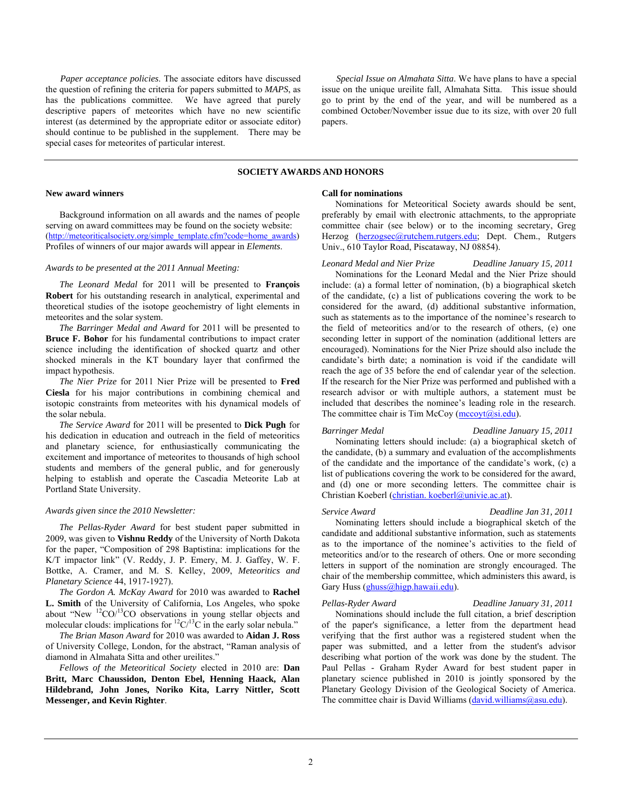*Paper acceptance policies*. The associate editors have discussed the question of refining the criteria for papers submitted to *MAPS*, as has the publications committee. We have agreed that purely descriptive papers of meteorites which have no new scientific interest (as determined by the appropriate editor or associate editor) should continue to be published in the supplement. There may be special cases for meteorites of particular interest.

*Special Issue on Almahata Sitta*. We have plans to have a special issue on the unique ureilite fall, Almahata Sitta. This issue should go to print by the end of the year, and will be numbered as a combined October/November issue due to its size, with over 20 full papers.

# **SOCIETY AWARDS AND HONORS**

### **New award winners**

Background information on all awards and the names of people serving on award committees may be found on the society website: (http://meteoriticalsociety.org/simple\_template.cfm?code=home\_awards) Profiles of winners of our major awards will appear in *Elements*.

# *Awards to be presented at the 2011 Annual Meeting:*

*The Leonard Medal* for 2011 will be presented to **François Robert** for his outstanding research in analytical, experimental and theoretical studies of the isotope geochemistry of light elements in meteorites and the solar system.

*The Barringer Medal and Award* for 2011 will be presented to **Bruce F. Bohor** for his fundamental contributions to impact crater science including the identification of shocked quartz and other shocked minerals in the KT boundary layer that confirmed the impact hypothesis.

*The Nier Prize* for 2011 Nier Prize will be presented to **Fred Ciesla** for his major contributions in combining chemical and isotopic constraints from meteorites with his dynamical models of the solar nebula.

*The Service Award* for 2011 will be presented to **Dick Pugh** for his dedication in education and outreach in the field of meteoritics and planetary science, for enthusiastically communicating the excitement and importance of meteorites to thousands of high school students and members of the general public, and for generously helping to establish and operate the Cascadia Meteorite Lab at Portland State University.

#### *Awards given since the 2010 Newsletter:*

*The Pellas-Ryder Award* for best student paper submitted in 2009, was given to **Vishnu Reddy** of the University of North Dakota for the paper, "Composition of 298 Baptistina: implications for the K/T impactor link" (V. Reddy, J. P. Emery, M. J. Gaffey, W. F. Bottke, A. Cramer, and M. S. Kelley, 2009, *Meteoritics and Planetary Science* 44, 1917-1927).

*The Gordon A. McKay Award* for 2010 was awarded to **Rachel L. Smith** of the University of California, Los Angeles, who spoke about "New  ${}^{12}CO/{}^{13}CO$  observations in young stellar objects and molecular clouds: implications for  ${}^{12}C/{}^{13}C$  in the early solar nebula."

*The Brian Mason Award* for 2010 was awarded to **Aidan J. Ross**  of University College, London, for the abstract, "Raman analysis of diamond in Almahata Sitta and other ureilites."

*Fellows of the Meteoritical Society* elected in 2010 are: **Dan Britt, Marc Chaussidon, Denton Ebel, Henning Haack, Alan Hildebrand, John Jones, Noriko Kita, Larry Nittler, Scott Messenger, and Kevin Righter**.

#### **Call for nominations**

Nominations for Meteoritical Society awards should be sent, preferably by email with electronic attachments, to the appropriate committee chair (see below) or to the incoming secretary, Greg Herzog (herzogsec@rutchem.rutgers.edu; Dept. Chem., Rutgers Univ., 610 Taylor Road, Piscataway, NJ 08854).

# *Leonard Medal and Nier Prize Deadline January 15, 2011*

Nominations for the Leonard Medal and the Nier Prize should include: (a) a formal letter of nomination, (b) a biographical sketch of the candidate, (c) a list of publications covering the work to be considered for the award, (d) additional substantive information, such as statements as to the importance of the nominee's research to the field of meteoritics and/or to the research of others, (e) one seconding letter in support of the nomination (additional letters are encouraged). Nominations for the Nier Prize should also include the candidate's birth date; a nomination is void if the candidate will reach the age of 35 before the end of calendar year of the selection. If the research for the Nier Prize was performed and published with a research advisor or with multiple authors, a statement must be included that describes the nominee's leading role in the research. The committee chair is Tim McCoy (mccoyt@si.edu).

# *Barringer Medal Deadline January 15, 2011*

Nominating letters should include: (a) a biographical sketch of the candidate, (b) a summary and evaluation of the accomplishments of the candidate and the importance of the candidate's work, (c) a list of publications covering the work to be considered for the award, and (d) one or more seconding letters. The committee chair is Christian Koeberl (christian. koeberl@univie.ac.at).

#### *Service Award Deadline Jan 31, 2011*

Nominating letters should include a biographical sketch of the candidate and additional substantive information, such as statements as to the importance of the nominee's activities to the field of meteoritics and/or to the research of others. One or more seconding letters in support of the nomination are strongly encouraged. The chair of the membership committee, which administers this award, is Gary Huss (ghuss@higp.hawaii.edu).

#### *Pellas-Ryder Award Deadline January 31, 2011*

Nominations should include the full citation, a brief description of the paper's significance, a letter from the department head verifying that the first author was a registered student when the paper was submitted, and a letter from the student's advisor describing what portion of the work was done by the student. The Paul Pellas - Graham Ryder Award for best student paper in planetary science published in 2010 is jointly sponsored by the Planetary Geology Division of the Geological Society of America. The committee chair is David Williams (david.williams@asu.edu).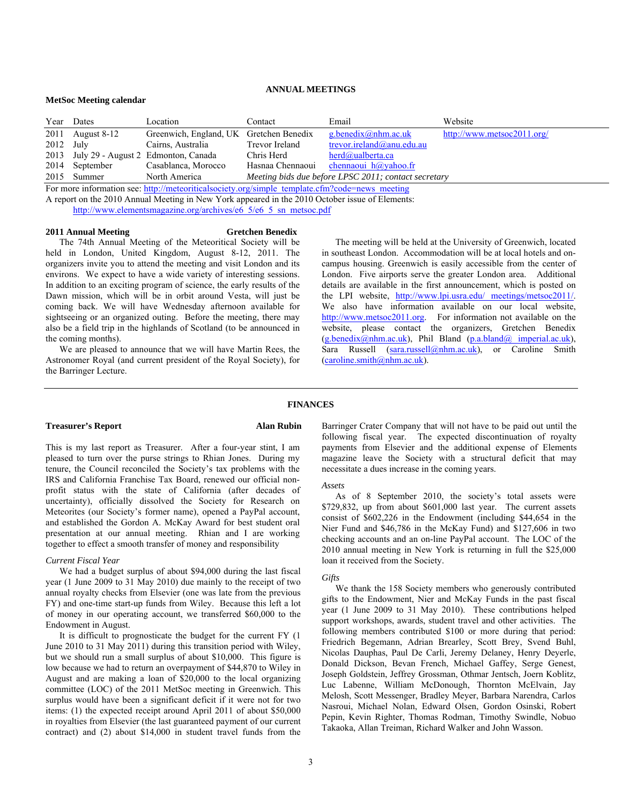# **ANNUAL MEETINGS**

#### **MetSoc Meeting calendar**

|                                                                                                | Year Dates       | Location                                 | Contact        | Email                                                | Website                    |
|------------------------------------------------------------------------------------------------|------------------|------------------------------------------|----------------|------------------------------------------------------|----------------------------|
|                                                                                                | 2011 August 8-12 | Greenwich, England, UK Gretchen Benedix  |                | g.benedix@nhm.ac.uk                                  | http://www.metsoc2011.org/ |
| $2012$ July                                                                                    |                  | Cairns, Australia                        | Trevor Ireland | trevor.ireland@anu.edu.au                            |                            |
|                                                                                                |                  | 2013 July 29 - August 2 Edmonton, Canada | Chris Herd     | herd@ualberta.ca                                     |                            |
|                                                                                                | 2014 September   | Casablanca, Morocco                      |                | Hasnaa Chennaoui chennaoui h@yahoo.fr                |                            |
|                                                                                                | 2015 Summer      | North America                            |                | Meeting bids due before LPSC 2011; contact secretary |                            |
| For more information see: http://meteoriticalsociety.org/simple template.cfm?code=news meeting |                  |                                          |                |                                                      |                            |

A report on the 2010 Annual Meeting in New York appeared in the 2010 October issue of Elements:

http://www.elementsmagazine.org/archives/e6\_5/e6\_5\_sn\_metsoc.pdf

#### **2011 Annual Meeting Gretchen Benedix**

The 74th Annual Meeting of the Meteoritical Society will be held in London, United Kingdom, August 8-12, 2011. The organizers invite you to attend the meeting and visit London and its environs. We expect to have a wide variety of interesting sessions. In addition to an exciting program of science, the early results of the Dawn mission, which will be in orbit around Vesta, will just be coming back. We will have Wednesday afternoon available for sightseeing or an organized outing. Before the meeting, there may also be a field trip in the highlands of Scotland (to be announced in the coming months).

We are pleased to announce that we will have Martin Rees, the Astronomer Royal (and current president of the Royal Society), for the Barringer Lecture.

The meeting will be held at the University of Greenwich, located in southeast London. Accommodation will be at local hotels and oncampus housing. Greenwich is easily accessible from the center of London. Five airports serve the greater London area. Additional details are available in the first announcement, which is posted on the LPI website, http://www.lpi.usra.edu/ meetings/metsoc2011/. We also have information available on our local website, http://www.metsoc2011.org. For information not available on the website, please contact the organizers, Gretchen Benedix  $(g.benedix@nhm.ac.uk)$ , Phil Bland  $(p.a.bland@imperial.ac.uk)$ , Sara Russell (sara.russell@nhm.ac.uk), or Caroline Smith  $(caroline. Smith@nhm.ac.uk).$ 

#### **FINANCES**

# **Treasurer's Report Alan Rubin**

This is my last report as Treasurer. After a four-year stint, I am pleased to turn over the purse strings to Rhian Jones. During my tenure, the Council reconciled the Society's tax problems with the IRS and California Franchise Tax Board, renewed our official nonprofit status with the state of California (after decades of uncertainty), officially dissolved the Society for Research on Meteorites (our Society's former name), opened a PayPal account, and established the Gordon A. McKay Award for best student oral presentation at our annual meeting. Rhian and I are working together to effect a smooth transfer of money and responsibility

### *Current Fiscal Year*

We had a budget surplus of about \$94,000 during the last fiscal year (1 June 2009 to 31 May 2010) due mainly to the receipt of two annual royalty checks from Elsevier (one was late from the previous FY) and one-time start-up funds from Wiley. Because this left a lot of money in our operating account, we transferred \$60,000 to the Endowment in August.

It is difficult to prognosticate the budget for the current FY (1 June 2010 to 31 May 2011) during this transition period with Wiley, but we should run a small surplus of about \$10,000. This figure is low because we had to return an overpayment of \$44,870 to Wiley in August and are making a loan of \$20,000 to the local organizing committee (LOC) of the 2011 MetSoc meeting in Greenwich. This surplus would have been a significant deficit if it were not for two items: (1) the expected receipt around April 2011 of about \$50,000 in royalties from Elsevier (the last guaranteed payment of our current contract) and (2) about \$14,000 in student travel funds from the Barringer Crater Company that will not have to be paid out until the following fiscal year. The expected discontinuation of royalty payments from Elsevier and the additional expense of Elements magazine leave the Society with a structural deficit that may necessitate a dues increase in the coming years.

# *Assets*

As of 8 September 2010, the society's total assets were \$729,832, up from about \$601,000 last year. The current assets consist of \$602,226 in the Endowment (including \$44,654 in the Nier Fund and \$46,786 in the McKay Fund) and \$127,606 in two checking accounts and an on-line PayPal account. The LOC of the 2010 annual meeting in New York is returning in full the \$25,000 loan it received from the Society.

#### *Gifts*

We thank the 158 Society members who generously contributed gifts to the Endowment, Nier and McKay Funds in the past fiscal year (1 June 2009 to 31 May 2010). These contributions helped support workshops, awards, student travel and other activities. The following members contributed \$100 or more during that period: Friedrich Begemann, Adrian Brearley, Scott Brey, Svend Buhl, Nicolas Dauphas, Paul De Carli, Jeremy Delaney, Henry Deyerle, Donald Dickson, Bevan French, Michael Gaffey, Serge Genest, Joseph Goldstein, Jeffrey Grossman, Othmar Jentsch, Joern Koblitz, Luc Labenne, William McDonough, Thornton McElvain, Jay Melosh, Scott Messenger, Bradley Meyer, Barbara Narendra, Carlos Nasroui, Michael Nolan, Edward Olsen, Gordon Osinski, Robert Pepin, Kevin Righter, Thomas Rodman, Timothy Swindle, Nobuo Takaoka, Allan Treiman, Richard Walker and John Wasson.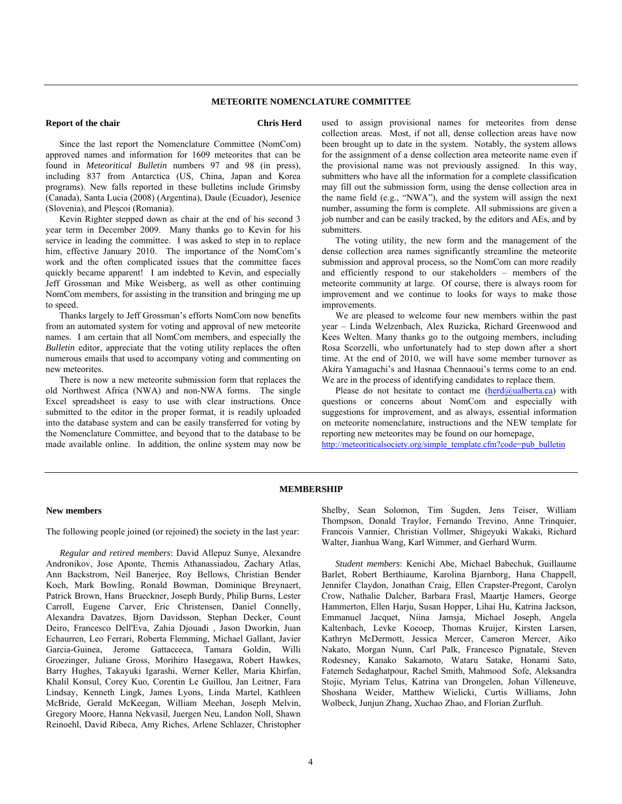# **METEORITE NOMENCLATURE COMMITTEE**

# **Report of the chair Chris Herd Chris Herd**

Since the last report the Nomenclature Committee (NomCom) approved names and information for 1609 meteorites that can be found in *Meteoritical Bulletin* numbers 97 and 98 (in press), including 837 from Antarctica (US, China, Japan and Korea programs). New falls reported in these bulletins include Grimsby (Canada), Santa Lucia (2008) (Argentina), Daule (Ecuador), Jesenice (Slovenia), and Pleşcoi (Romania).

Kevin Righter stepped down as chair at the end of his second 3 year term in December 2009. Many thanks go to Kevin for his service in leading the committee. I was asked to step in to replace him, effective January 2010. The importance of the NomCom's work and the often complicated issues that the committee faces quickly became apparent! I am indebted to Kevin, and especially Jeff Grossman and Mike Weisberg, as well as other continuing NomCom members, for assisting in the transition and bringing me up to speed.

Thanks largely to Jeff Grossman's efforts NomCom now benefits from an automated system for voting and approval of new meteorite names. I am certain that all NomCom members, and especially the *Bulletin* editor, appreciate that the voting utility replaces the often numerous emails that used to accompany voting and commenting on new meteorites.

There is now a new meteorite submission form that replaces the old Northwest Africa (NWA) and non-NWA forms. The single Excel spreadsheet is easy to use with clear instructions. Once submitted to the editor in the proper format, it is readily uploaded into the database system and can be easily transferred for voting by the Nomenclature Committee, and beyond that to the database to be made available online. In addition, the online system may now be used to assign provisional names for meteorites from dense collection areas. Most, if not all, dense collection areas have now been brought up to date in the system. Notably, the system allows for the assignment of a dense collection area meteorite name even if the provisional name was not previously assigned. In this way, submitters who have all the information for a complete classification may fill out the submission form, using the dense collection area in the name field (e.g., "NWA"), and the system will assign the next number, assuming the form is complete. All submissions are given a job number and can be easily tracked, by the editors and AEs, and by submitters.

The voting utility, the new form and the management of the dense collection area names significantly streamline the meteorite submission and approval process, so the NomCom can more readily and efficiently respond to our stakeholders – members of the meteorite community at large. Of course, there is always room for improvement and we continue to looks for ways to make those improvements.

We are pleased to welcome four new members within the past year – Linda Welzenbach, Alex Ruzicka, Richard Greenwood and Kees Welten. Many thanks go to the outgoing members, including Rosa Scorzelli, who unfortunately had to step down after a short time. At the end of 2010, we will have some member turnover as Akira Yamaguchi's and Hasnaa Chennaoui's terms come to an end. We are in the process of identifying candidates to replace them.

Please do not hesitate to contact me  $(herd@ualberta.ca)$  with questions or concerns about NomCom and especially with suggestions for improvement, and as always, essential information on meteorite nomenclature, instructions and the NEW template for reporting new meteorites may be found on our homepage, http://meteoriticalsociety.org/simple\_template.cfm?code=pub\_bulletin

#### **MEMBERSHIP**

### **New members**

The following people joined (or rejoined) the society in the last year:

*Regular and retired members*: David Allepuz Sunye, Alexandre Andronikov, Jose Aponte, Themis Athanassiadou, Zachary Atlas, Ann Backstrom, Neil Banerjee, Roy Bellows, Christian Bender Koch, Mark Bowling, Ronald Bowman, Dominique Breynaert, Patrick Brown, Hans Brueckner, Joseph Burdy, Philip Burns, Lester Carroll, Eugene Carver, Eric Christensen, Daniel Connelly, Alexandra Davatzes, Bjorn Davidsson, Stephan Decker, Count Deiro, Francesco Dell'Eva, Zahia Djouadi , Jason Dworkin, Juan Echaurren, Leo Ferrari, Roberta Flemming, Michael Gallant, Javier Garcia-Guinea, Jerome Gattacceca, Tamara Goldin, Willi Groezinger, Juliane Gross, Morihiro Hasegawa, Robert Hawkes, Barry Hughes, Takayuki Igarashi, Werner Keller, Maria Khirfan, Khalil Konsul, Corey Kuo, Corentin Le Guillou, Jan Leitner, Fara Lindsay, Kenneth Lingk, James Lyons, Linda Martel, Kathleen McBride, Gerald McKeegan, William Meehan, Joseph Melvin, Gregory Moore, Hanna Nekvasil, Juergen Neu, Landon Noll, Shawn Reinoehl, David Ribeca, Amy Riches, Arlene Schlazer, Christopher

Shelby, Sean Solomon, Tim Sugden, Jens Teiser, William Thompson, Donald Traylor, Fernando Trevino, Anne Trinquier, Francois Vannier, Christian Vollmer, Shigeyuki Wakaki, Richard Walter, Jianhua Wang, Karl Wimmer, and Gerhard Wurm.

*Student members*: Kenichi Abe, Michael Babechuk, Guillaume Barlet, Robert Berthiaume, Karolina Bjarnborg, Hana Chappell, Jennifer Claydon, Jonathan Craig, Ellen Crapster-Pregont, Carolyn Crow, Nathalie Dalcher, Barbara Frasl, Maartje Hamers, George Hammerton, Ellen Harju, Susan Hopper, Lihai Hu, Katrina Jackson, Emmanuel Jacquet, Niina Jamsja, Michael Joseph, Angela Kaltenbach, Levke Koeoep, Thomas Kruijer, Kirsten Larsen, Kathryn McDermott, Jessica Mercer, Cameron Mercer, Aiko Nakato, Morgan Nunn, Carl Palk, Francesco Pignatale, Steven Rodesney, Kanako Sakamoto, Wataru Satake, Honami Sato, Fatemeh Sedaghatpour, Rachel Smith, Mahmood Sofe, Aleksandra Stojic, Myriam Telus, Katrina van Drongelen, Johan Villeneuve, Shoshana Weider, Matthew Wielicki, Curtis Williams, John Wolbeck, Junjun Zhang, Xuchao Zhao, and Florian Zurfluh.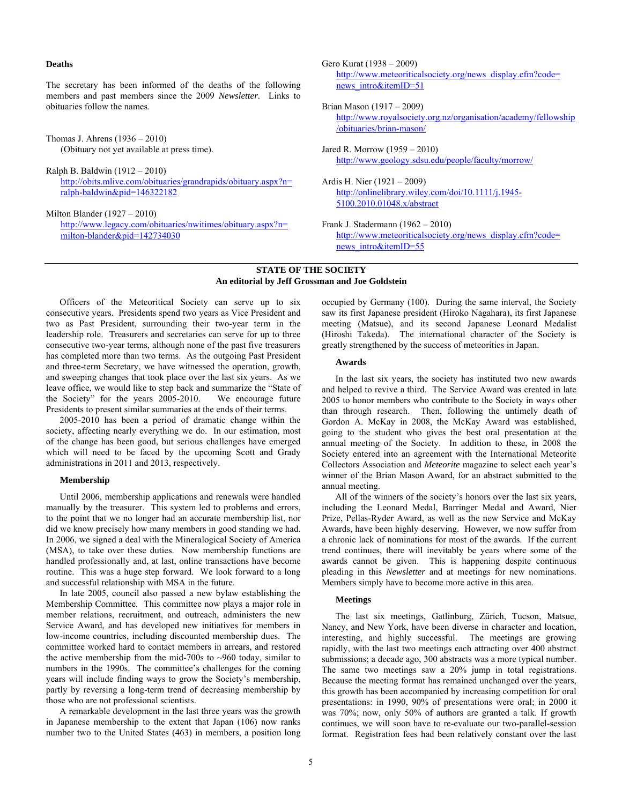**Deaths** 

The secretary has been informed of the deaths of the following members and past members since the 2009 *Newsletter*. Links to obituaries follow the names.

Thomas J. Ahrens (1936 – 2010) (Obituary not yet available at press time).

Ralph B. Baldwin (1912 – 2010) http://obits.mlive.com/obituaries/grandrapids/obituary.aspx?n= ralph-baldwin&pid=146322182

Milton Blander (1927 – 2010) http://www.legacy.com/obituaries/nwitimes/obituary.aspx?n= milton-blander&pid=142734030

Gero Kurat (1938 – 2009) http://www.meteoriticalsociety.org/news\_display.cfm?code= news\_intro&itemID=51

Brian Mason (1917 – 2009)

http://www.royalsociety.org.nz/organisation/academy/fellowship /obituaries/brian-mason/

Jared R. Morrow (1959 – 2010) http://www.geology.sdsu.edu/people/faculty/morrow/

Ardis H. Nier (1921 – 2009) http://onlinelibrary.wiley.com/doi/10.1111/j.1945- 5100.2010.01048.x/abstract

Frank J. Stadermann (1962 – 2010) http://www.meteoriticalsociety.org/news\_display.cfm?code= news\_intro&itemID=55

### **STATE OF THE SOCIETY An editorial by Jeff Grossman and Joe Goldstein**

Officers of the Meteoritical Society can serve up to six consecutive years. Presidents spend two years as Vice President and two as Past President, surrounding their two-year term in the leadership role. Treasurers and secretaries can serve for up to three consecutive two-year terms, although none of the past five treasurers has completed more than two terms. As the outgoing Past President and three-term Secretary, we have witnessed the operation, growth, and sweeping changes that took place over the last six years. As we leave office, we would like to step back and summarize the "State of the Society" for the years 2005-2010. We encourage future Presidents to present similar summaries at the ends of their terms.

2005-2010 has been a period of dramatic change within the society, affecting nearly everything we do. In our estimation, most of the change has been good, but serious challenges have emerged which will need to be faced by the upcoming Scott and Grady administrations in 2011 and 2013, respectively.

# **Membership**

Until 2006, membership applications and renewals were handled manually by the treasurer. This system led to problems and errors, to the point that we no longer had an accurate membership list, nor did we know precisely how many members in good standing we had. In 2006, we signed a deal with the Mineralogical Society of America (MSA), to take over these duties. Now membership functions are handled professionally and, at last, online transactions have become routine. This was a huge step forward. We look forward to a long and successful relationship with MSA in the future.

In late 2005, council also passed a new bylaw establishing the Membership Committee. This committee now plays a major role in member relations, recruitment, and outreach, administers the new Service Award, and has developed new initiatives for members in low-income countries, including discounted membership dues. The committee worked hard to contact members in arrears, and restored the active membership from the mid-700s to  $\sim$ 960 today, similar to numbers in the 1990s. The committee's challenges for the coming years will include finding ways to grow the Society's membership, partly by reversing a long-term trend of decreasing membership by those who are not professional scientists.

A remarkable development in the last three years was the growth in Japanese membership to the extent that Japan (106) now ranks number two to the United States (463) in members, a position long occupied by Germany (100). During the same interval, the Society saw its first Japanese president (Hiroko Nagahara), its first Japanese meeting (Matsue), and its second Japanese Leonard Medalist (Hiroshi Takeda). The international character of the Society is greatly strengthened by the success of meteoritics in Japan.

# **Awards**

In the last six years, the society has instituted two new awards and helped to revive a third. The Service Award was created in late 2005 to honor members who contribute to the Society in ways other than through research. Then, following the untimely death of Gordon A. McKay in 2008, the McKay Award was established, going to the student who gives the best oral presentation at the annual meeting of the Society. In addition to these, in 2008 the Society entered into an agreement with the International Meteorite Collectors Association and *Meteorite* magazine to select each year's winner of the Brian Mason Award, for an abstract submitted to the annual meeting.

All of the winners of the society's honors over the last six years, including the Leonard Medal, Barringer Medal and Award, Nier Prize, Pellas-Ryder Award, as well as the new Service and McKay Awards, have been highly deserving. However, we now suffer from a chronic lack of nominations for most of the awards. If the current trend continues, there will inevitably be years where some of the awards cannot be given. This is happening despite continuous pleading in this *Newsletter* and at meetings for new nominations. Members simply have to become more active in this area.

#### **Meetings**

The last six meetings, Gatlinburg, Zürich, Tucson, Matsue, Nancy, and New York, have been diverse in character and location, interesting, and highly successful. The meetings are growing rapidly, with the last two meetings each attracting over 400 abstract submissions; a decade ago, 300 abstracts was a more typical number. The same two meetings saw a 20% jump in total registrations. Because the meeting format has remained unchanged over the years, this growth has been accompanied by increasing competition for oral presentations: in 1990, 90% of presentations were oral; in 2000 it was 70%; now, only 50% of authors are granted a talk. If growth continues, we will soon have to re-evaluate our two-parallel-session format. Registration fees had been relatively constant over the last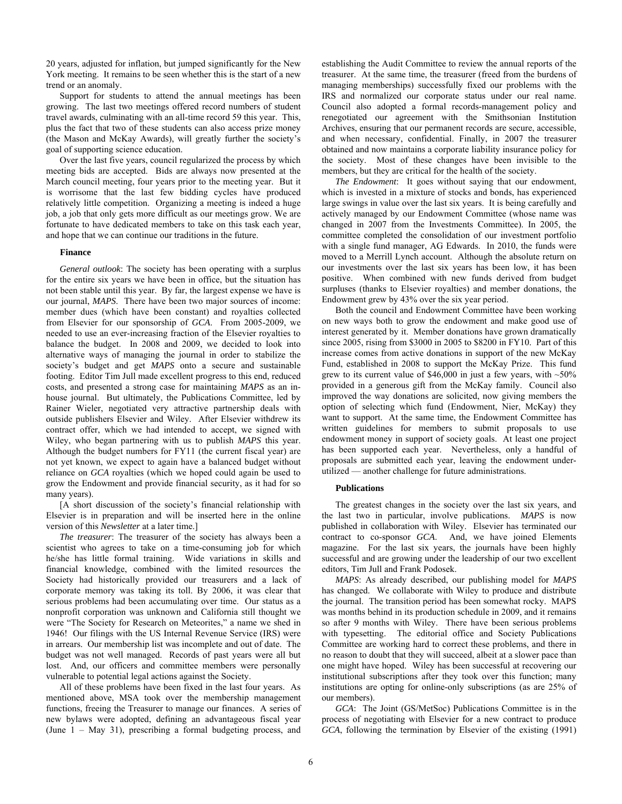20 years, adjusted for inflation, but jumped significantly for the New York meeting. It remains to be seen whether this is the start of a new trend or an anomaly.

Support for students to attend the annual meetings has been growing. The last two meetings offered record numbers of student travel awards, culminating with an all-time record 59 this year. This, plus the fact that two of these students can also access prize money (the Mason and McKay Awards), will greatly further the society's goal of supporting science education.

Over the last five years, council regularized the process by which meeting bids are accepted. Bids are always now presented at the March council meeting, four years prior to the meeting year. But it is worrisome that the last few bidding cycles have produced relatively little competition. Organizing a meeting is indeed a huge job, a job that only gets more difficult as our meetings grow. We are fortunate to have dedicated members to take on this task each year, and hope that we can continue our traditions in the future.

#### **Finance**

*General outlook*: The society has been operating with a surplus for the entire six years we have been in office, but the situation has not been stable until this year. By far, the largest expense we have is our journal, *MAPS*. There have been two major sources of income: member dues (which have been constant) and royalties collected from Elsevier for our sponsorship of *GCA*. From 2005-2009, we needed to use an ever-increasing fraction of the Elsevier royalties to balance the budget. In 2008 and 2009, we decided to look into alternative ways of managing the journal in order to stabilize the society's budget and get *MAPS* onto a secure and sustainable footing. Editor Tim Jull made excellent progress to this end, reduced costs, and presented a strong case for maintaining *MAPS* as an inhouse journal. But ultimately, the Publications Committee, led by Rainer Wieler, negotiated very attractive partnership deals with outside publishers Elsevier and Wiley. After Elsevier withdrew its contract offer, which we had intended to accept, we signed with Wiley, who began partnering with us to publish *MAPS* this year. Although the budget numbers for FY11 (the current fiscal year) are not yet known, we expect to again have a balanced budget without reliance on *GCA* royalties (which we hoped could again be used to grow the Endowment and provide financial security, as it had for so many years).

[A short discussion of the society's financial relationship with Elsevier is in preparation and will be inserted here in the online version of this *Newsletter* at a later time.]

*The treasurer*: The treasurer of the society has always been a scientist who agrees to take on a time-consuming job for which he/she has little formal training. Wide variations in skills and financial knowledge, combined with the limited resources the Society had historically provided our treasurers and a lack of corporate memory was taking its toll. By 2006, it was clear that serious problems had been accumulating over time. Our status as a nonprofit corporation was unknown and California still thought we were "The Society for Research on Meteorites," a name we shed in 1946! Our filings with the US Internal Revenue Service (IRS) were in arrears. Our membership list was incomplete and out of date. The budget was not well managed. Records of past years were all but lost. And, our officers and committee members were personally vulnerable to potential legal actions against the Society.

All of these problems have been fixed in the last four years. As mentioned above, MSA took over the membership management functions, freeing the Treasurer to manage our finances. A series of new bylaws were adopted, defining an advantageous fiscal year (June 1 – May 31), prescribing a formal budgeting process, and establishing the Audit Committee to review the annual reports of the treasurer. At the same time, the treasurer (freed from the burdens of managing memberships) successfully fixed our problems with the IRS and normalized our corporate status under our real name. Council also adopted a formal records-management policy and renegotiated our agreement with the Smithsonian Institution Archives, ensuring that our permanent records are secure, accessible, and when necessary, confidential. Finally, in 2007 the treasurer obtained and now maintains a corporate liability insurance policy for the society. Most of these changes have been invisible to the members, but they are critical for the health of the society.

*The Endowment*: It goes without saying that our endowment, which is invested in a mixture of stocks and bonds, has experienced large swings in value over the last six years. It is being carefully and actively managed by our Endowment Committee (whose name was changed in 2007 from the Investments Committee). In 2005, the committee completed the consolidation of our investment portfolio with a single fund manager, AG Edwards. In 2010, the funds were moved to a Merrill Lynch account. Although the absolute return on our investments over the last six years has been low, it has been positive. When combined with new funds derived from budget surpluses (thanks to Elsevier royalties) and member donations, the Endowment grew by 43% over the six year period.

Both the council and Endowment Committee have been working on new ways both to grow the endowment and make good use of interest generated by it. Member donations have grown dramatically since 2005, rising from \$3000 in 2005 to \$8200 in FY10. Part of this increase comes from active donations in support of the new McKay Fund, established in 2008 to support the McKay Prize. This fund grew to its current value of \$46,000 in just a few years, with  $\sim$ 50% provided in a generous gift from the McKay family. Council also improved the way donations are solicited, now giving members the option of selecting which fund (Endowment, Nier, McKay) they want to support. At the same time, the Endowment Committee has written guidelines for members to submit proposals to use endowment money in support of society goals. At least one project has been supported each year. Nevertheless, only a handful of proposals are submitted each year, leaving the endowment underutilized — another challenge for future administrations.

#### **Publications**

The greatest changes in the society over the last six years, and the last two in particular, involve publications. *MAPS* is now published in collaboration with Wiley. Elsevier has terminated our contract to co-sponsor *GCA*. And, we have joined Elements magazine. For the last six years, the journals have been highly successful and are growing under the leadership of our two excellent editors, Tim Jull and Frank Podosek.

*MAPS*: As already described, our publishing model for *MAPS* has changed. We collaborate with Wiley to produce and distribute the journal. The transition period has been somewhat rocky. MAPS was months behind in its production schedule in 2009, and it remains so after 9 months with Wiley. There have been serious problems with typesetting. The editorial office and Society Publications Committee are working hard to correct these problems, and there in no reason to doubt that they will succeed, albeit at a slower pace than one might have hoped. Wiley has been successful at recovering our institutional subscriptions after they took over this function; many institutions are opting for online-only subscriptions (as are 25% of our members).

*GCA*: The Joint (GS/MetSoc) Publications Committee is in the process of negotiating with Elsevier for a new contract to produce *GCA*, following the termination by Elsevier of the existing (1991)